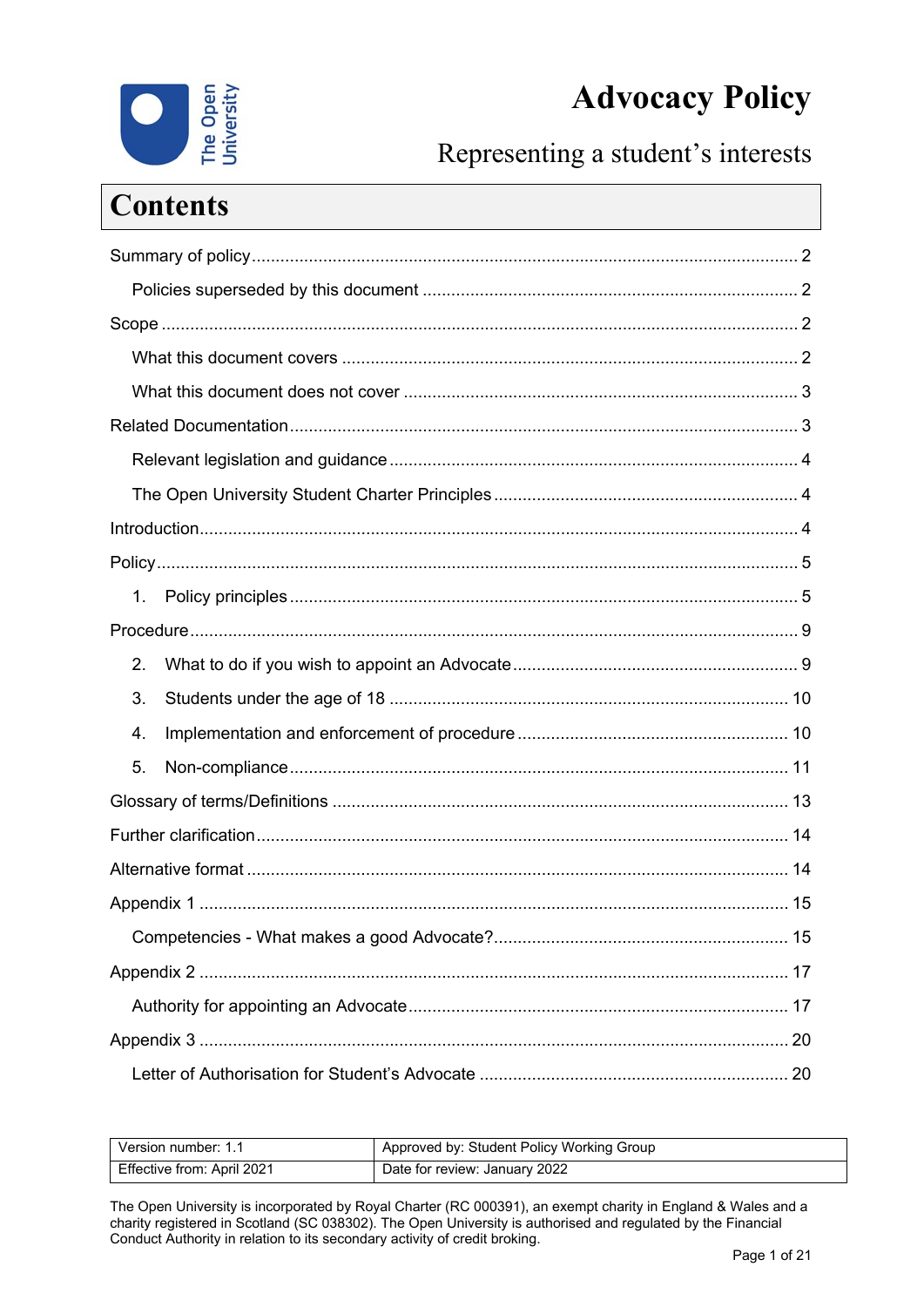# **Advocacy Policy**



Representing a student's interests

| <b>Contents</b> |  |
|-----------------|--|
|                 |  |
|                 |  |
|                 |  |
|                 |  |
|                 |  |
|                 |  |
|                 |  |
|                 |  |
|                 |  |
|                 |  |
| $1_{-}$         |  |
|                 |  |
| 2.              |  |
| 3.              |  |
| 4.              |  |
| 5.              |  |
|                 |  |
|                 |  |
|                 |  |
|                 |  |
|                 |  |
|                 |  |
|                 |  |
|                 |  |
|                 |  |

| Version number: 1.1        | <sup>1</sup> Approved by: Student Policy Working Group |
|----------------------------|--------------------------------------------------------|
| Effective from: April 2021 | Date for review: January 2022                          |

The Open University is incorporated by Royal Charter (RC 000391), an exempt charity in England & Wales and a charity registered in Scotland (SC 038302). The Open University is authorised and regulated by the Financial Conduct Authority in relation to its secondary activity of credit broking.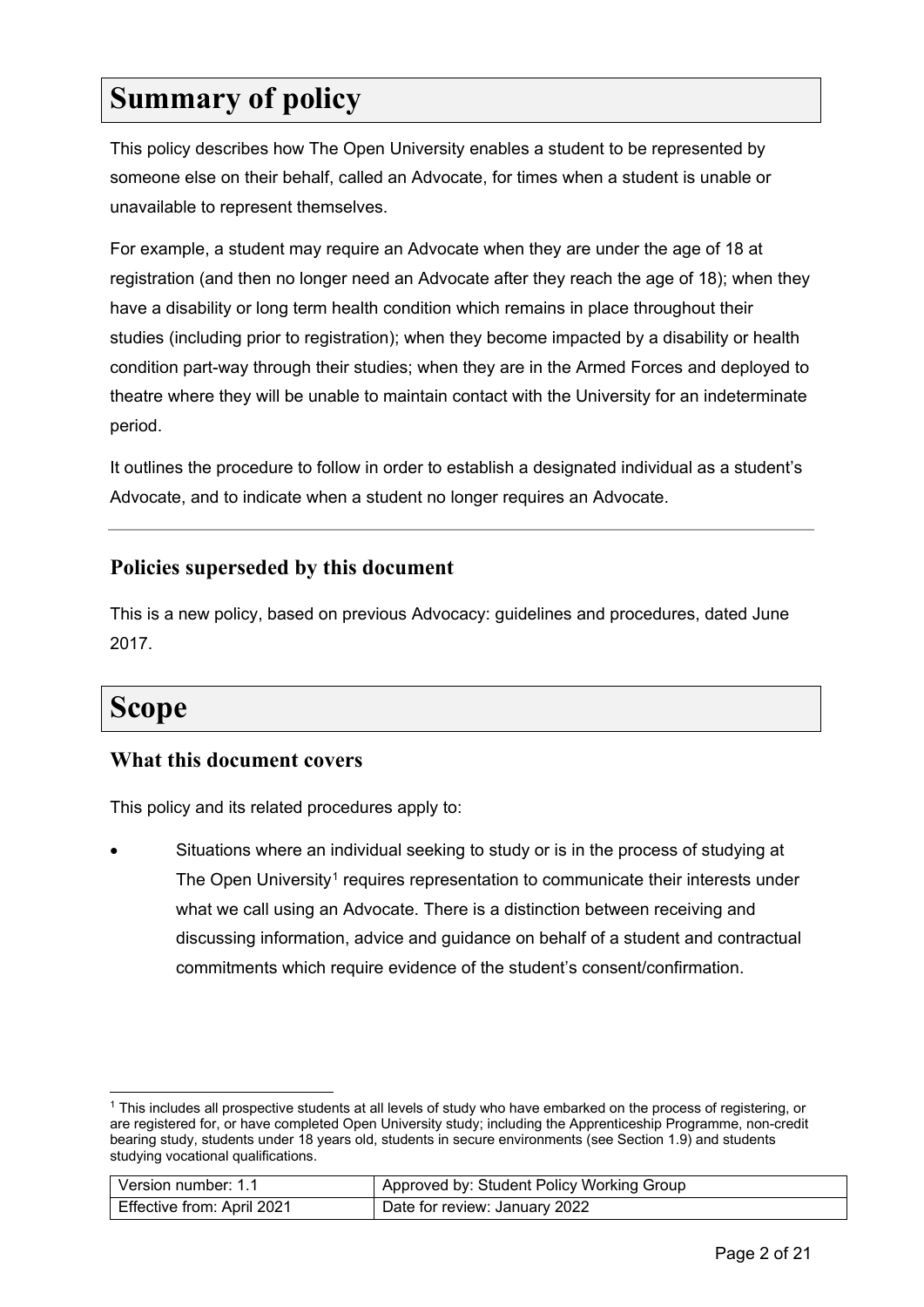### <span id="page-1-0"></span>**Summary of policy**

This policy describes how The Open University enables a student to be represented by someone else on their behalf, called an Advocate, for times when a student is unable or unavailable to represent themselves.

For example, a student may require an Advocate when they are under the age of 18 at registration (and then no longer need an Advocate after they reach the age of 18); when they have a disability or long term health condition which remains in place throughout their studies (including prior to registration); when they become impacted by a disability or health condition part-way through their studies; when they are in the Armed Forces and deployed to theatre where they will be unable to maintain contact with the University for an indeterminate period.

It outlines the procedure to follow in order to establish a designated individual as a student's Advocate, and to indicate when a student no longer requires an Advocate.

#### <span id="page-1-1"></span>**Policies superseded by this document**

This is a new policy, based on previous Advocacy: guidelines and procedures, dated June 2017.

### <span id="page-1-2"></span>**Scope**

#### <span id="page-1-3"></span>**What this document covers**

This policy and its related procedures apply to:

• Situations where an individual seeking to study or is in the process of studying at The Open University<sup>[1](#page-1-4)</sup> requires representation to communicate their interests under what we call using an Advocate. There is a distinction between receiving and discussing information, advice and guidance on behalf of a student and contractual commitments which require evidence of the student's consent/confirmation.

| Version number: 1.1        | Approved by: Student Policy Working Group |
|----------------------------|-------------------------------------------|
| Effective from: April 2021 | Date for review: January 2022             |

<span id="page-1-4"></span><sup>1</sup> This includes all prospective students at all levels of study who have embarked on the process of registering, or are registered for, or have completed Open University study; including the Apprenticeship Programme, non-credit bearing study, students under 18 years old, students in secure environments (see Section 1.9) and students studying vocational qualifications.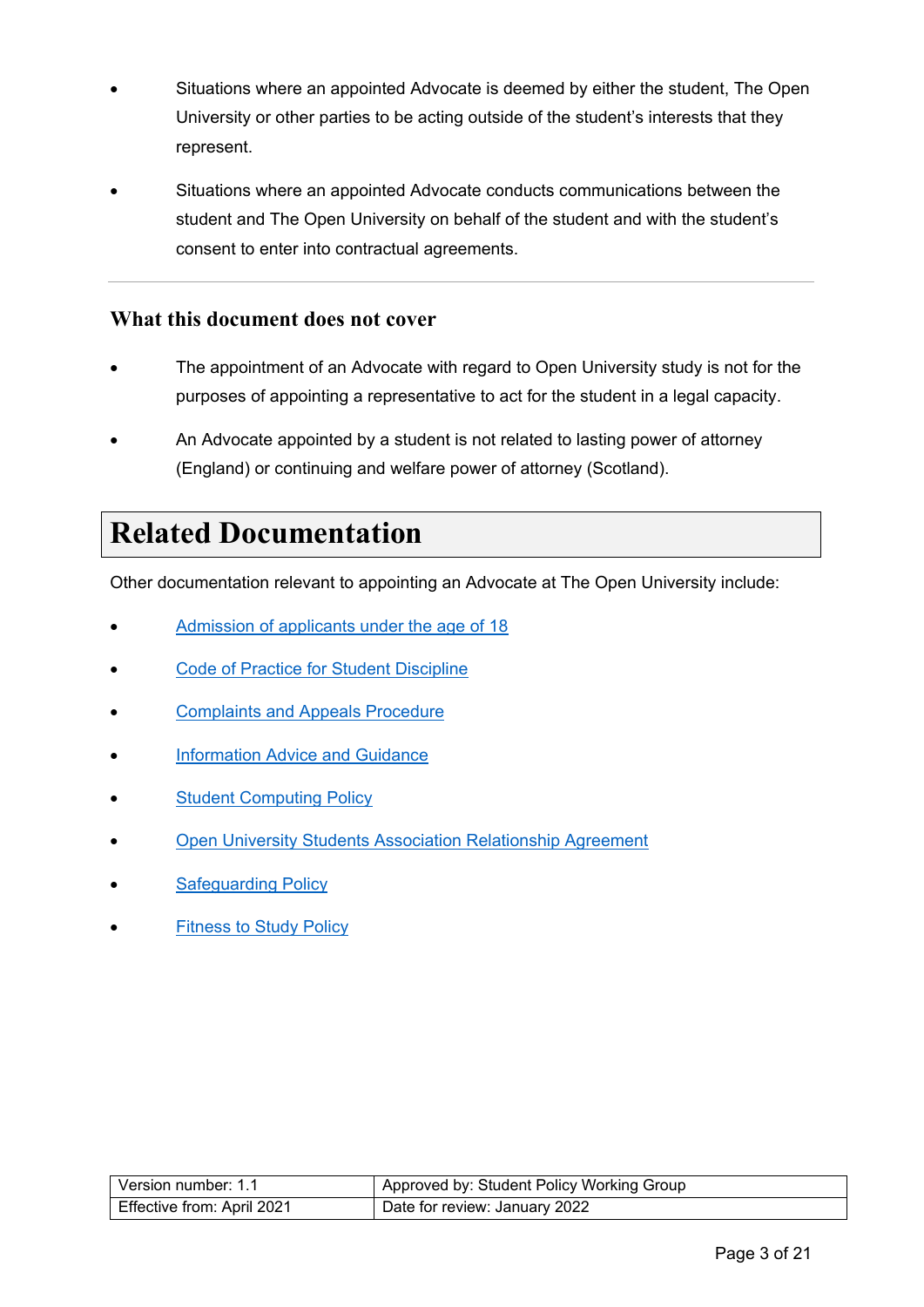- Situations where an appointed Advocate is deemed by either the student, The Open University or other parties to be acting outside of the student's interests that they represent.
- Situations where an appointed Advocate conducts communications between the student and The Open University on behalf of the student and with the student's consent to enter into contractual agreements.

#### <span id="page-2-0"></span>**What this document does not cover**

- The appointment of an Advocate with regard to Open University study is not for the purposes of appointing a representative to act for the student in a legal capacity.
- An Advocate appointed by a student is not related to lasting power of attorney (England) or continuing and welfare power of attorney (Scotland).

### <span id="page-2-1"></span>**Related Documentation**

Other documentation relevant to appointing an Advocate at The Open University include:

- [Admission of applicants under the age of 18](https://help.open.ac.uk/documents/policies/admission-of-applicants-under-the-age-18)
- **[Code of Practice for Student Discipline](https://help.open.ac.uk/documents/policies/code-of-practice-student-discipline)**
- **[Complaints and Appeals Procedure](https://help.open.ac.uk/documents/policies/complaints-and-appeals-procedure)**
- **[Information Advice and](https://help.open.ac.uk/documents/policies/information-advice-and-guidance) Guidance**
- **[Student Computing Policy](https://help.open.ac.uk/documents/policies/computing)**
- [Open University Students Association Relationship Agreement](https://help.open.ac.uk/documents/policies/ousa-relationship-agreement)
- [Safeguarding Policy](https://help.open.ac.uk/documents/policies/ensuring-the-safety-of-children-and-vulnerable-protected-adults)
- <span id="page-2-2"></span>**[Fitness to Study Policy](https://help.open.ac.uk/documents/policies/fitness-to-study)**

| l Version number: 1.1      | Approved by: Student Policy Working Group |
|----------------------------|-------------------------------------------|
| Effective from: April 2021 | Date for review: January 2022             |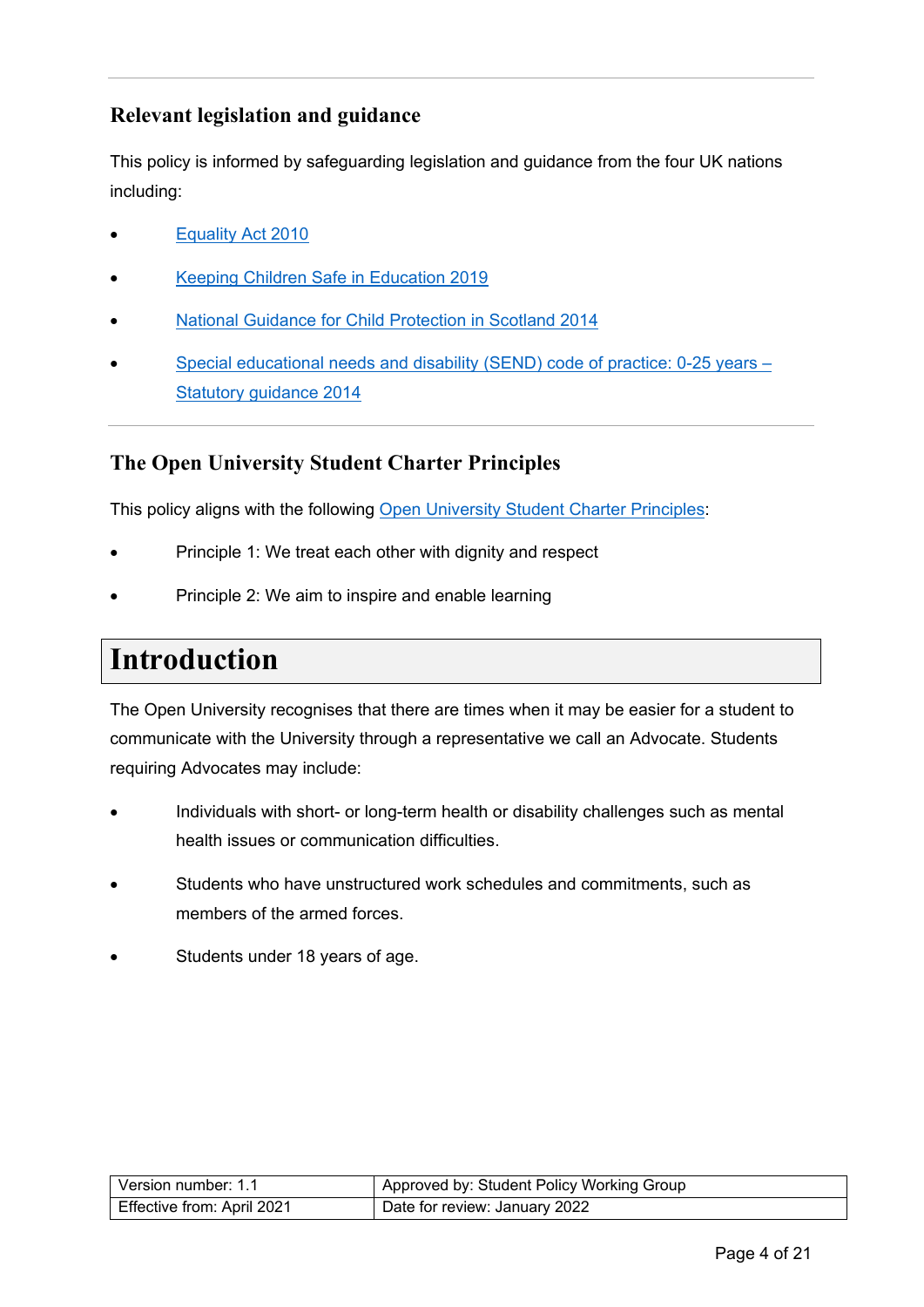### **Relevant legislation and guidance**

This policy is informed by safeguarding legislation and guidance from the four UK nations including:

- [Equality Act 2010](https://www.gov.uk/guidance/equality-act-2010-guidance#equalities-act-2010-legislation)
- [Keeping Children Safe in Education 2019](https://www.gov.uk/government/publications/keeping-children-safe-in-education--2)
- [National Guidance for Child Protection in Scotland 2014](http://www.gov.scot/Publications/2014/05/3052/0)
- [Special educational needs and disability \(SEND\) code of practice: 0-25 years –](https://www.gov.uk/government/publications/send-code-of-practice-0-to-25) [Statutory guidance 2014](https://www.gov.uk/government/publications/send-code-of-practice-0-to-25)

#### <span id="page-3-0"></span>**The Open University Student Charter Principles**

This policy aligns with the following [Open University Student Charter Principles:](http://www.open.ac.uk/students/charter/)

- Principle 1: We treat each other with dignity and respect
- Principle 2: We aim to inspire and enable learning

### <span id="page-3-1"></span>**Introduction**

The Open University recognises that there are times when it may be easier for a student to communicate with the University through a representative we call an Advocate. Students requiring Advocates may include:

- Individuals with short- or long-term health or disability challenges such as mental health issues or communication difficulties.
- Students who have unstructured work schedules and commitments, such as members of the armed forces.
- <span id="page-3-2"></span>Students under 18 years of age.

| Version number: 1.1        | Approved by: Student Policy Working Group |
|----------------------------|-------------------------------------------|
| Effective from: April 2021 | Date for review: January 2022             |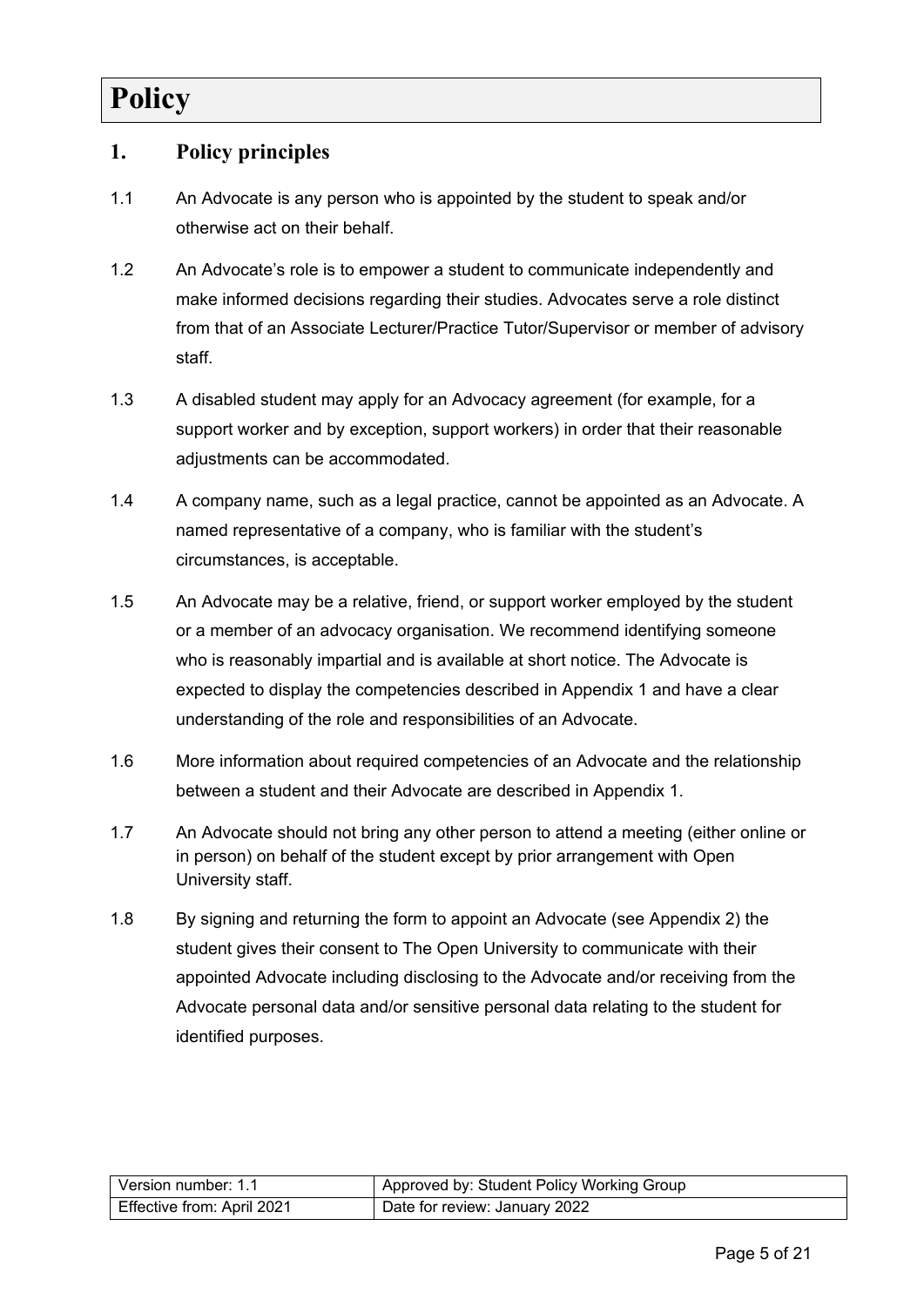# **Policy**

#### <span id="page-4-0"></span>**1. Policy principles**

- 1.1 An Advocate is any person who is appointed by the student to speak and/or otherwise act on their behalf.
- 1.2 An Advocate's role is to empower a student to communicate independently and make informed decisions regarding their studies. Advocates serve a role distinct from that of an Associate Lecturer/Practice Tutor/Supervisor or member of advisory staff.
- 1.3 A disabled student may apply for an Advocacy agreement (for example, for a support worker and by exception, support workers) in order that their reasonable adiustments can be accommodated.
- 1.4 A company name, such as a legal practice, cannot be appointed as an Advocate. A named representative of a company, who is familiar with the student's circumstances, is acceptable.
- 1.5 An Advocate may be a relative, friend, or support worker employed by the student or a member of an advocacy organisation. We recommend identifying someone who is reasonably impartial and is available at short notice. The Advocate is expected to display the competencies described in Appendix 1 and have a clear understanding of the role and responsibilities of an Advocate.
- 1.6 More information about required competencies of an Advocate and the relationship between a student and their Advocate are described in Appendix 1.
- 1.7 An Advocate should not bring any other person to attend a meeting (either online or in person) on behalf of the student except by prior arrangement with Open University staff.
- 1.8 By signing and returning the form to appoint an Advocate (see Appendix 2) the student gives their consent to The Open University to communicate with their appointed Advocate including disclosing to the Advocate and/or receiving from the Advocate personal data and/or sensitive personal data relating to the student for identified purposes.

| Version number: 1.1        | Approved by: Student Policy Working Group |
|----------------------------|-------------------------------------------|
| Effective from: April 2021 | Date for review: January 2022             |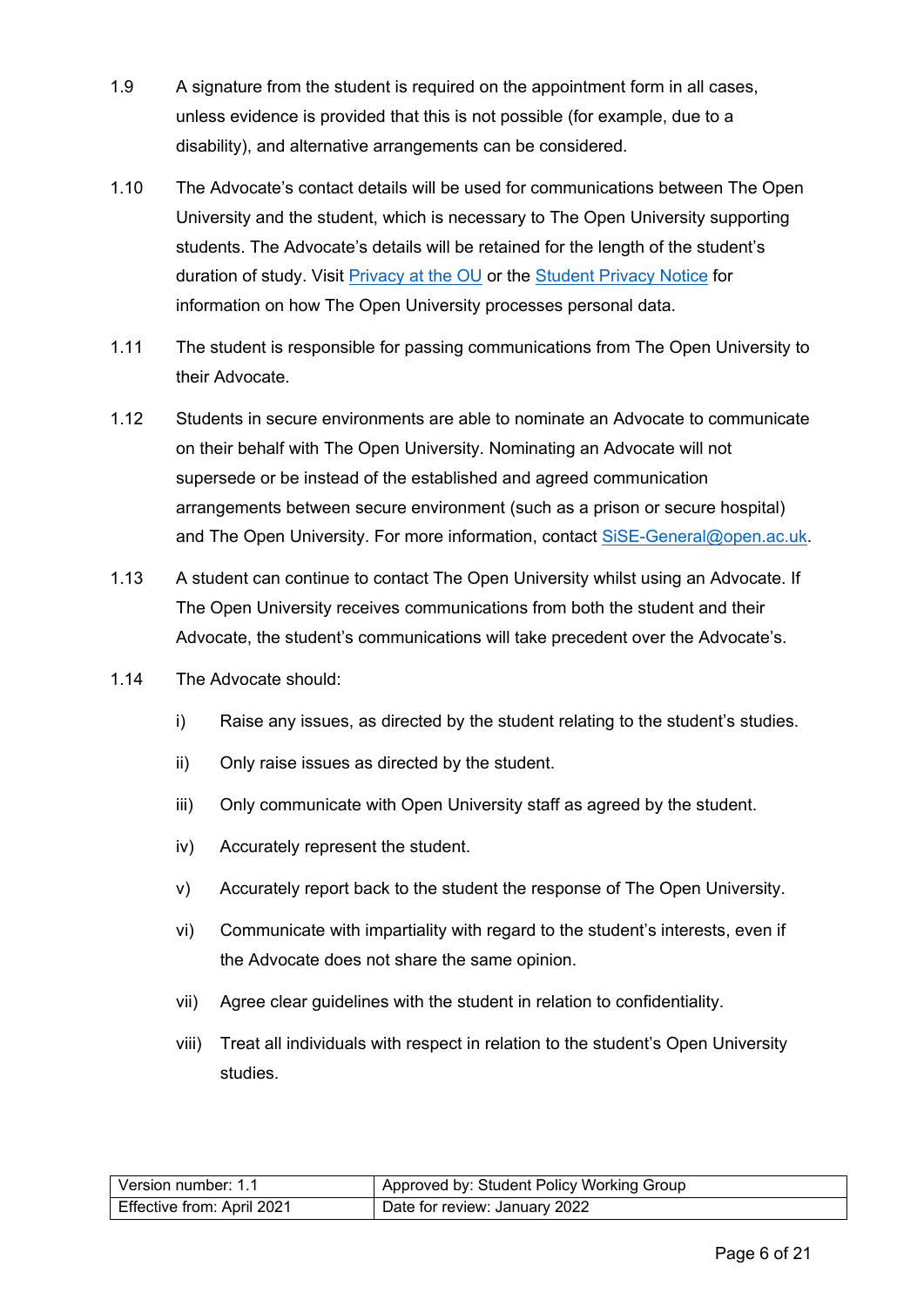- 1.9 A signature from the student is required on the appointment form in all cases, unless evidence is provided that this is not possible (for example, due to a disability), and alternative arrangements can be considered.
- 1.10 The Advocate's contact details will be used for communications between The Open University and the student, which is necessary to The Open University supporting students. The Advocate's details will be retained for the length of the student's duration of study. Visit [Privacy at the OU](http://www.open.ac.uk/about/main/strategy-and-policies/policies-and-statements/website-privacy-ou) or the [Student Privacy Notice](https://help.open.ac.uk/documents/policies/privacy-notice) for information on how The Open University processes personal data.
- 1.11 The student is responsible for passing communications from The Open University to their Advocate.
- 1.12 Students in secure environments are able to nominate an Advocate to communicate on their behalf with The Open University. Nominating an Advocate will not supersede or be instead of the established and agreed communication arrangements between secure environment (such as a prison or secure hospital) and The Open University. For more information, contact [SiSE-General@open.ac.uk.](mailto:SiSE-General@open.ac.uk)
- 1.13 A student can continue to contact The Open University whilst using an Advocate. If The Open University receives communications from both the student and their Advocate, the student's communications will take precedent over the Advocate's.
- 1.14 The Advocate should:
	- i) Raise any issues, as directed by the student relating to the student's studies.
	- ii) Only raise issues as directed by the student.
	- iii) Only communicate with Open University staff as agreed by the student.
	- iv) Accurately represent the student.
	- v) Accurately report back to the student the response of The Open University.
	- vi) Communicate with impartiality with regard to the student's interests, even if the Advocate does not share the same opinion.
	- vii) Agree clear guidelines with the student in relation to confidentiality.
	- viii) Treat all individuals with respect in relation to the student's Open University studies.

| Version number: 1.1        | Approved by: Student Policy Working Group |
|----------------------------|-------------------------------------------|
| Effective from: April 2021 | Date for review: January 2022             |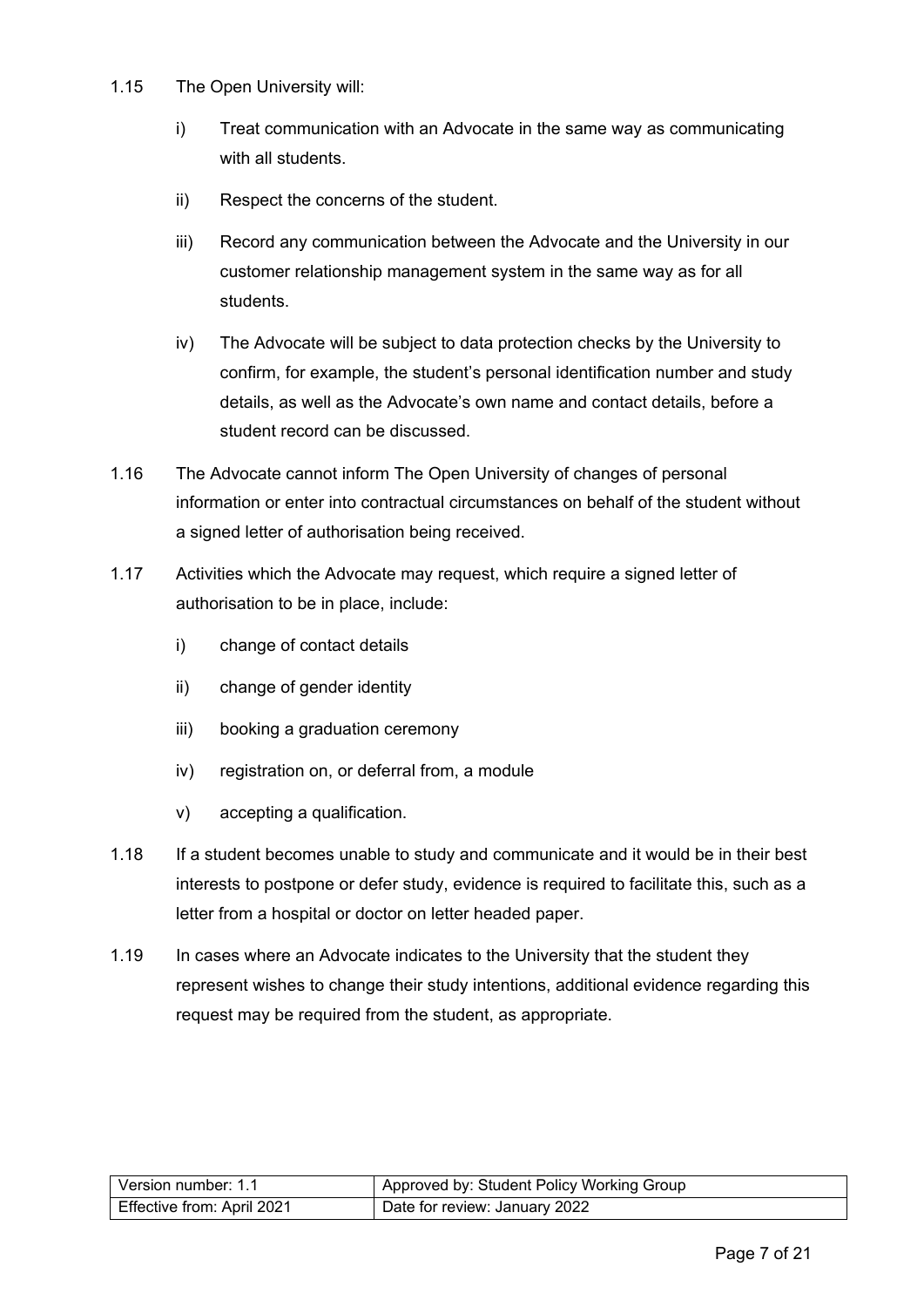- 1.15 The Open University will:
	- i) Treat communication with an Advocate in the same way as communicating with all students.
	- ii) Respect the concerns of the student.
	- iii) Record any communication between the Advocate and the University in our customer relationship management system in the same way as for all students.
	- iv) The Advocate will be subject to data protection checks by the University to confirm, for example, the student's personal identification number and study details, as well as the Advocate's own name and contact details, before a student record can be discussed.
- 1.16 The Advocate cannot inform The Open University of changes of personal information or enter into contractual circumstances on behalf of the student without a signed letter of authorisation being received.
- 1.17 Activities which the Advocate may request, which require a signed letter of authorisation to be in place, include:
	- i) change of contact details
	- ii) change of gender identity
	- iii) booking a graduation ceremony
	- iv) registration on, or deferral from, a module
	- v) accepting a qualification.
- 1.18 If a student becomes unable to study and communicate and it would be in their best interests to postpone or defer study, evidence is required to facilitate this, such as a letter from a hospital or doctor on letter headed paper.
- 1.19 In cases where an Advocate indicates to the University that the student they represent wishes to change their study intentions, additional evidence regarding this request may be required from the student, as appropriate.

| l Version number: 1.1      | Approved by: Student Policy Working Group |
|----------------------------|-------------------------------------------|
| Effective from: April 2021 | Date for review: January 2022             |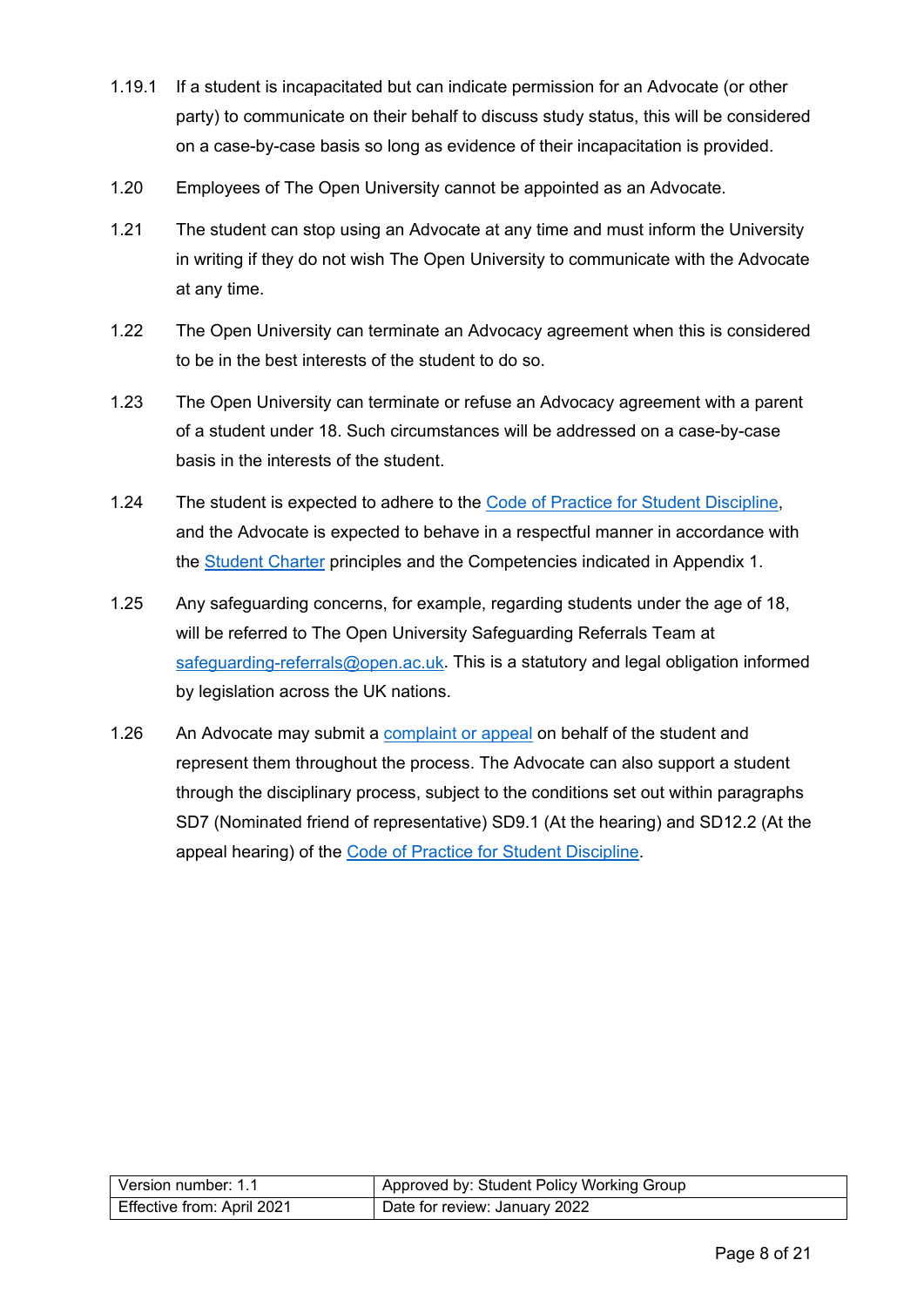- 1.19.1 If a student is incapacitated but can indicate permission for an Advocate (or other party) to communicate on their behalf to discuss study status, this will be considered on a case-by-case basis so long as evidence of their incapacitation is provided.
- 1.20 Employees of The Open University cannot be appointed as an Advocate.
- 1.21 The student can stop using an Advocate at any time and must inform the University in writing if they do not wish The Open University to communicate with the Advocate at any time.
- 1.22 The Open University can terminate an Advocacy agreement when this is considered to be in the best interests of the student to do so.
- 1.23 The Open University can terminate or refuse an Advocacy agreement with a parent of a student under 18. Such circumstances will be addressed on a case-by-case basis in the interests of the student.
- 1.24 The student is expected to adhere to the [Code of Practice for Student Discipline,](https://help.open.ac.uk/documents/policies/code-of-practice-student-discipline) and the Advocate is expected to behave in a respectful manner in accordance with the [Student Charter](http://www.open.ac.uk/students/charter/) principles and the Competencies indicated in Appendix 1.
- 1.25 Any safeguarding concerns, for example, regarding students under the age of 18, will be referred to The Open University Safeguarding Referrals Team at [safeguarding-referrals@open.ac.uk.](mailto:safeguarding-referrals@open.ac.uk) This is a statutory and legal obligation informed by legislation across the UK nations.
- <span id="page-7-0"></span>1.26 An Advocate may submit a [complaint or appeal](https://help.open.ac.uk/documents/policies/complaints-and-appeals-procedure) on behalf of the student and represent them throughout the process. The Advocate can also support a student through the disciplinary process, subject to the conditions set out within paragraphs SD7 (Nominated friend of representative) SD9.1 (At the hearing) and SD12.2 (At the appeal hearing) of the [Code of Practice for Student Discipline.](https://help.open.ac.uk/documents/policies/code-of-practice-student-discipline)

| Version number: 1.1        | Approved by: Student Policy Working Group |
|----------------------------|-------------------------------------------|
| Effective from: April 2021 | Date for review: January 2022             |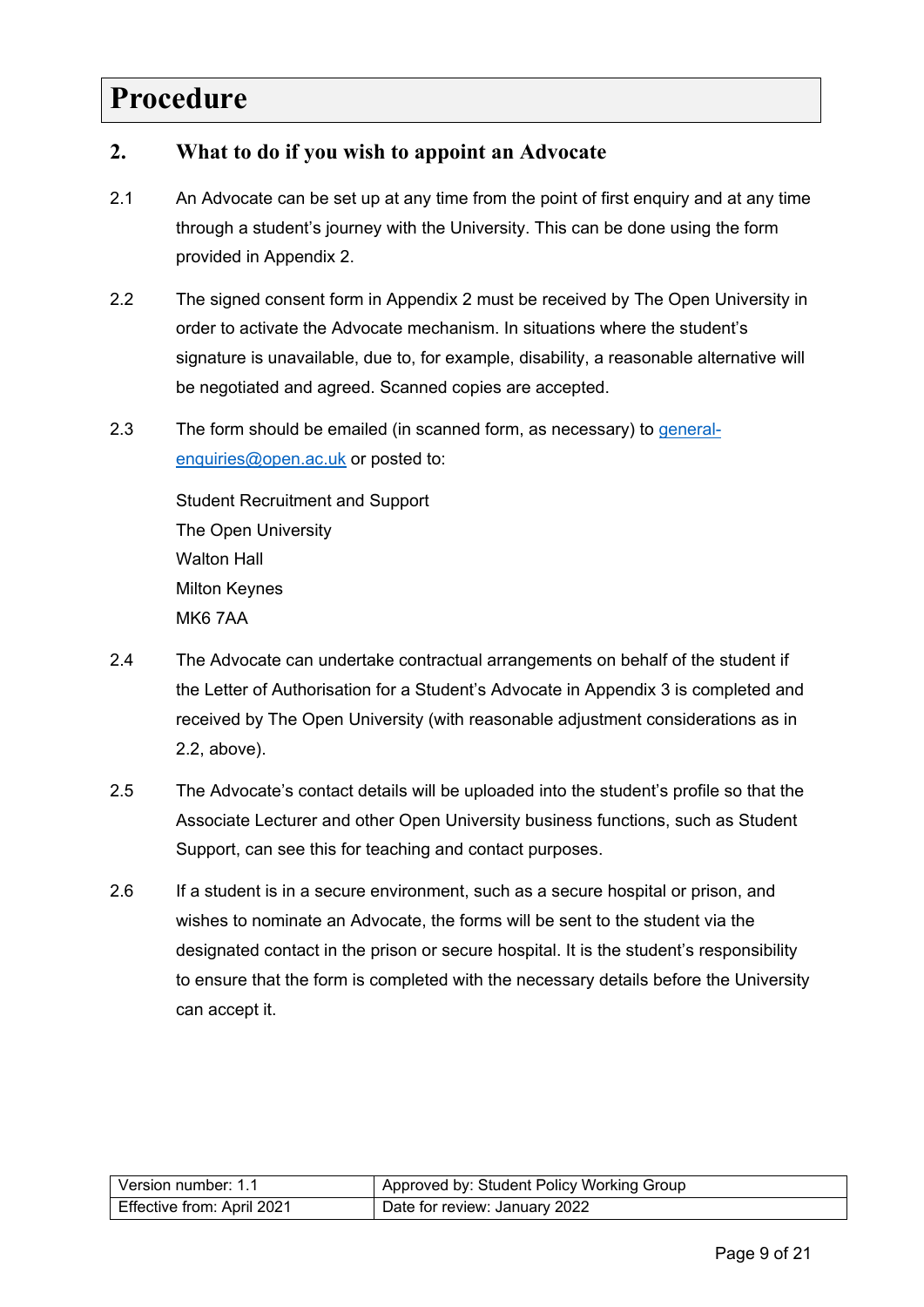### **Procedure**

#### <span id="page-8-0"></span>**2. What to do if you wish to appoint an Advocate**

- 2.1 An Advocate can be set up at any time from the point of first enquiry and at any time through a student's journey with the University. This can be done using the form provided in Appendix 2.
- 2.2 The signed consent form in Appendix 2 must be received by The Open University in order to activate the Advocate mechanism. In situations where the student's signature is unavailable, due to, for example, disability, a reasonable alternative will be negotiated and agreed. Scanned copies are accepted.
- 2.3 The form should be emailed (in scanned form, as necessary) to [general](mailto:general-enquiries@open.ac.uk)[enquiries@open.ac.uk](mailto:general-enquiries@open.ac.uk) or posted to:

Student Recruitment and Support The Open University Walton Hall Milton Keynes MK6 7AA

- 2.4 The Advocate can undertake contractual arrangements on behalf of the student if the Letter of Authorisation for a Student's Advocate in Appendix 3 is completed and received by The Open University (with reasonable adjustment considerations as in 2.2, above).
- 2.5 The Advocate's contact details will be uploaded into the student's profile so that the Associate Lecturer and other Open University business functions, such as Student Support, can see this for teaching and contact purposes.
- 2.6 If a student is in a secure environment, such as a secure hospital or prison, and wishes to nominate an Advocate, the forms will be sent to the student via the designated contact in the prison or secure hospital. It is the student's responsibility to ensure that the form is completed with the necessary details before the University can accept it.

| Version number: 1.1        | Approved by: Student Policy Working Group |
|----------------------------|-------------------------------------------|
| Effective from: April 2021 | Date for review: January 2022             |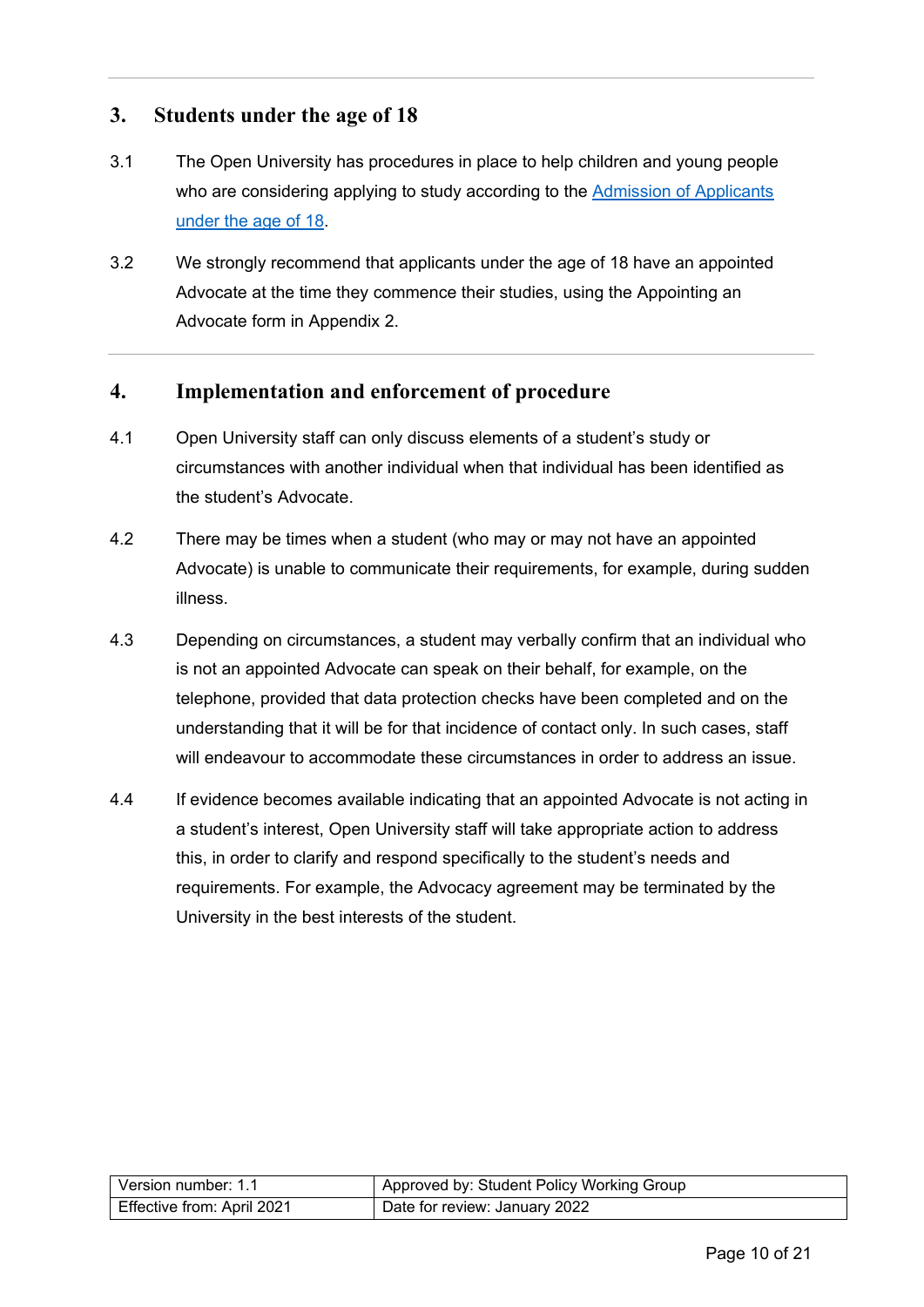#### <span id="page-9-0"></span>**3. Students under the age of 18**

- 3.1 The Open University has procedures in place to help children and young people who are considering applying to study according to the [Admission of Applicants](https://help.open.ac.uk/documents/policies/admission-of-applicants-under-the-age-18) [under the age of 18.](https://help.open.ac.uk/documents/policies/admission-of-applicants-under-the-age-18)
- 3.2 We strongly recommend that applicants under the age of 18 have an appointed Advocate at the time they commence their studies, using the Appointing an Advocate form in Appendix 2.

#### <span id="page-9-1"></span>**4. Implementation and enforcement of procedure**

- 4.1 Open University staff can only discuss elements of a student's study or circumstances with another individual when that individual has been identified as the student's Advocate.
- 4.2 There may be times when a student (who may or may not have an appointed Advocate) is unable to communicate their requirements, for example, during sudden illness.
- 4.3 Depending on circumstances, a student may verbally confirm that an individual who is not an appointed Advocate can speak on their behalf, for example, on the telephone, provided that data protection checks have been completed and on the understanding that it will be for that incidence of contact only. In such cases, staff will endeavour to accommodate these circumstances in order to address an issue.
- <span id="page-9-2"></span>4.4 If evidence becomes available indicating that an appointed Advocate is not acting in a student's interest, Open University staff will take appropriate action to address this, in order to clarify and respond specifically to the student's needs and requirements. For example, the Advocacy agreement may be terminated by the University in the best interests of the student.

| Version number: 1.1        | Approved by: Student Policy Working Group |
|----------------------------|-------------------------------------------|
| Effective from: April 2021 | Date for review: January 2022             |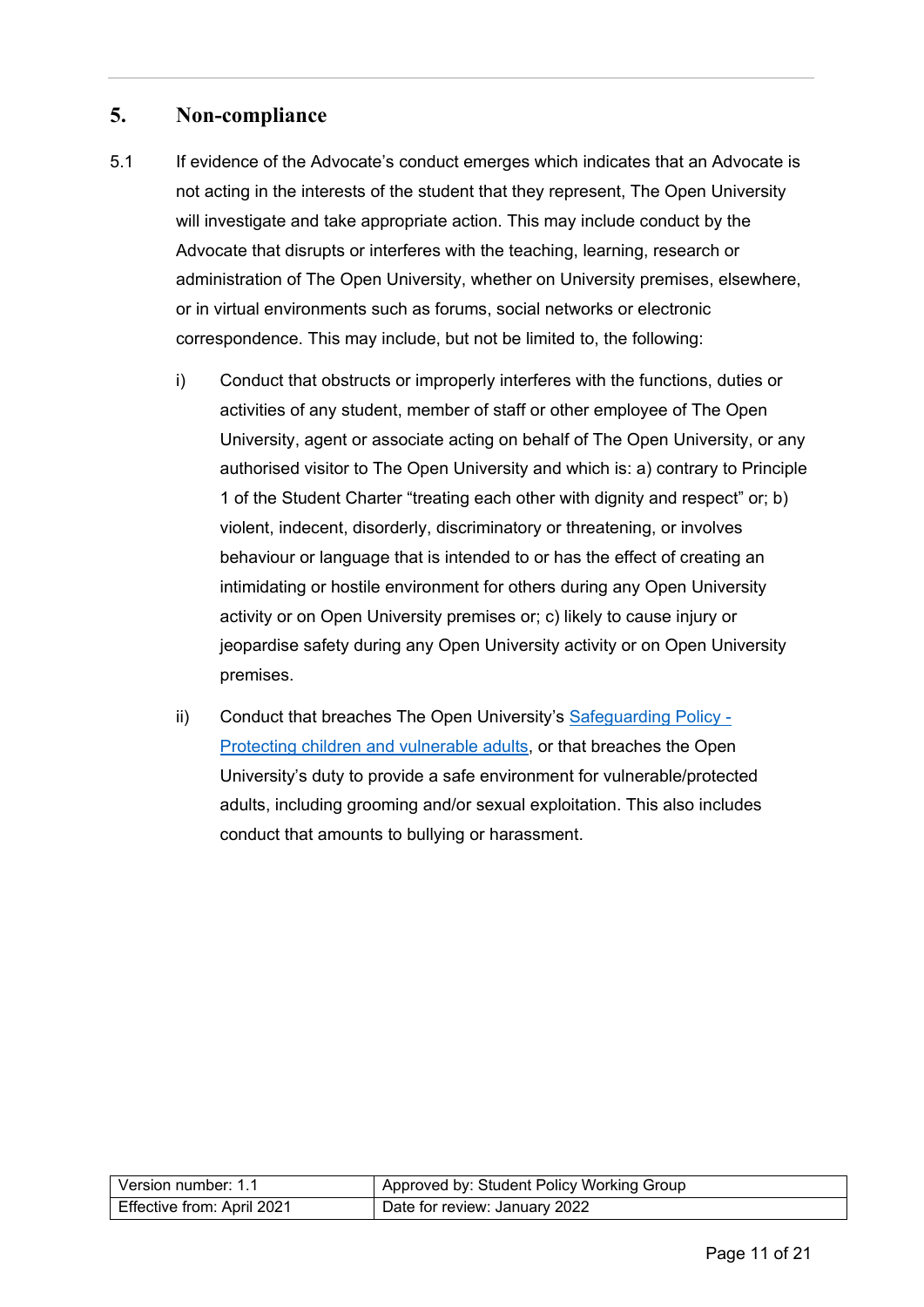#### **5. Non-compliance**

- 5.1 If evidence of the Advocate's conduct emerges which indicates that an Advocate is not acting in the interests of the student that they represent, The Open University will investigate and take appropriate action. This may include conduct by the Advocate that disrupts or interferes with the teaching, learning, research or administration of The Open University, whether on University premises, elsewhere, or in virtual environments such as forums, social networks or electronic correspondence. This may include, but not be limited to, the following:
	- i) Conduct that obstructs or improperly interferes with the functions, duties or activities of any student, member of staff or other employee of The Open University, agent or associate acting on behalf of The Open University, or any authorised visitor to The Open University and which is: a) contrary to Principle 1 of the Student Charter "treating each other with dignity and respect" or; b) violent, indecent, disorderly, discriminatory or threatening, or involves behaviour or language that is intended to or has the effect of creating an intimidating or hostile environment for others during any Open University activity or on Open University premises or; c) likely to cause injury or jeopardise safety during any Open University activity or on Open University premises.
	- ii) Conduct that breaches The Open University's [Safeguarding Policy -](https://help.open.ac.uk/documents/policies/ensuring-the-safety-of-children-and-vulnerable-protected-adults) [Protecting children and vulnerable adults,](https://help.open.ac.uk/documents/policies/ensuring-the-safety-of-children-and-vulnerable-protected-adults) or that breaches the Open University's duty to provide a safe environment for vulnerable/protected adults, including grooming and/or sexual exploitation. This also includes conduct that amounts to bullying or harassment.

| l Version number: 1.1      | Approved by: Student Policy Working Group |
|----------------------------|-------------------------------------------|
| Effective from: April 2021 | Date for review: January 2022             |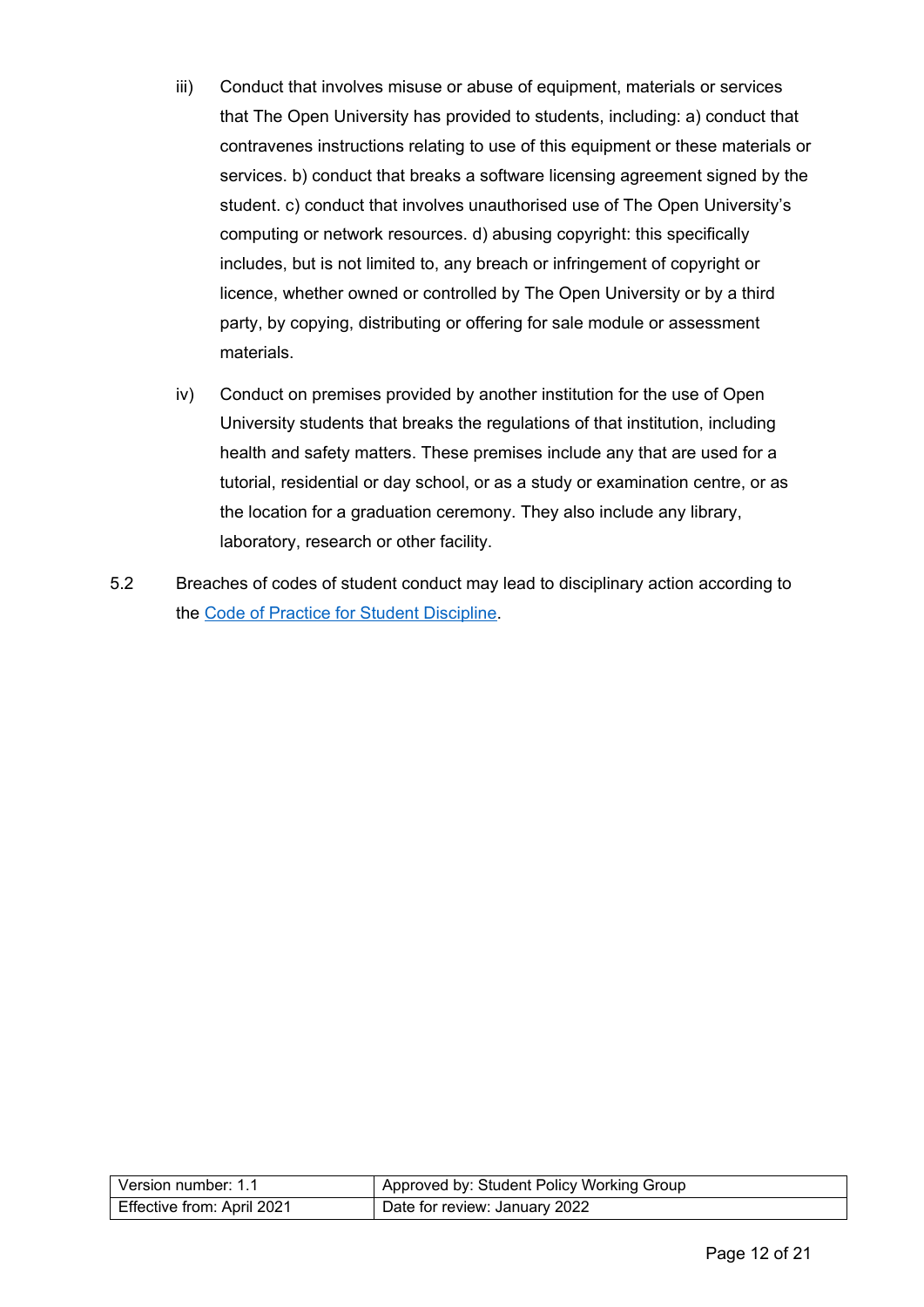- iii) Conduct that involves misuse or abuse of equipment, materials or services that The Open University has provided to students, including: a) conduct that contravenes instructions relating to use of this equipment or these materials or services. b) conduct that breaks a software licensing agreement signed by the student. c) conduct that involves unauthorised use of The Open University's computing or network resources. d) abusing copyright: this specifically includes, but is not limited to, any breach or infringement of copyright or licence, whether owned or controlled by The Open University or by a third party, by copying, distributing or offering for sale module or assessment materials.
- iv) Conduct on premises provided by another institution for the use of Open University students that breaks the regulations of that institution, including health and safety matters. These premises include any that are used for a tutorial, residential or day school, or as a study or examination centre, or as the location for a graduation ceremony. They also include any library, laboratory, research or other facility.
- <span id="page-11-0"></span>5.2 Breaches of codes of student conduct may lead to disciplinary action according to the [Code of Practice for Student Discipline.](https://help.open.ac.uk/documents/policies/code-of-practice-student-discipline)

| Version number: 1.1        | Approved by: Student Policy Working Group |
|----------------------------|-------------------------------------------|
| Effective from: April 2021 | Date for review: January 2022             |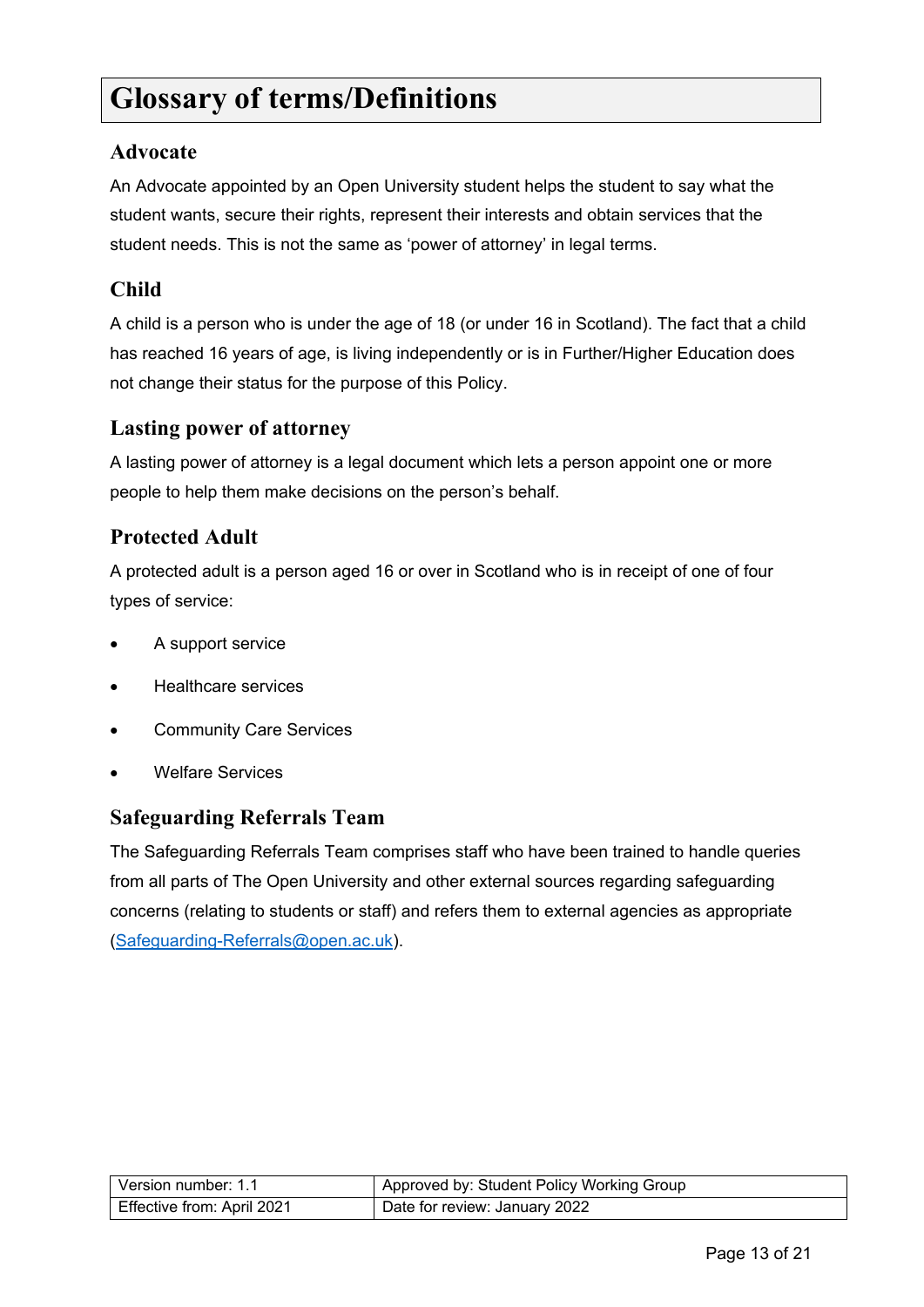### **Glossary of terms/Definitions**

#### **Advocate**

An Advocate appointed by an Open University student helps the student to say what the student wants, secure their rights, represent their interests and obtain services that the student needs. This is not the same as 'power of attorney' in legal terms.

#### **Child**

A child is a person who is under the age of 18 (or under 16 in Scotland). The fact that a child has reached 16 years of age, is living independently or is in Further/Higher Education does not change their status for the purpose of this Policy.

#### **Lasting power of attorney**

A lasting power of attorney is a legal document which lets a person appoint one or more people to help them make decisions on the person's behalf.

### **Protected Adult**

A protected adult is a person aged 16 or over in Scotland who is in receipt of one of four types of service:

- A support service
- Healthcare services
- **Community Care Services**
- Welfare Services

#### **Safeguarding Referrals Team**

The Safeguarding Referrals Team comprises staff who have been trained to handle queries from all parts of The Open University and other external sources regarding safeguarding concerns (relating to students or staff) and refers them to external agencies as appropriate [\(Safeguarding-Referrals@open.ac.uk\)](mailto:Safeguarding-Referrals@open.ac.uk).

| Version number: 1.1        | Approved by: Student Policy Working Group |
|----------------------------|-------------------------------------------|
| Effective from: April 2021 | Date for review: January 2022             |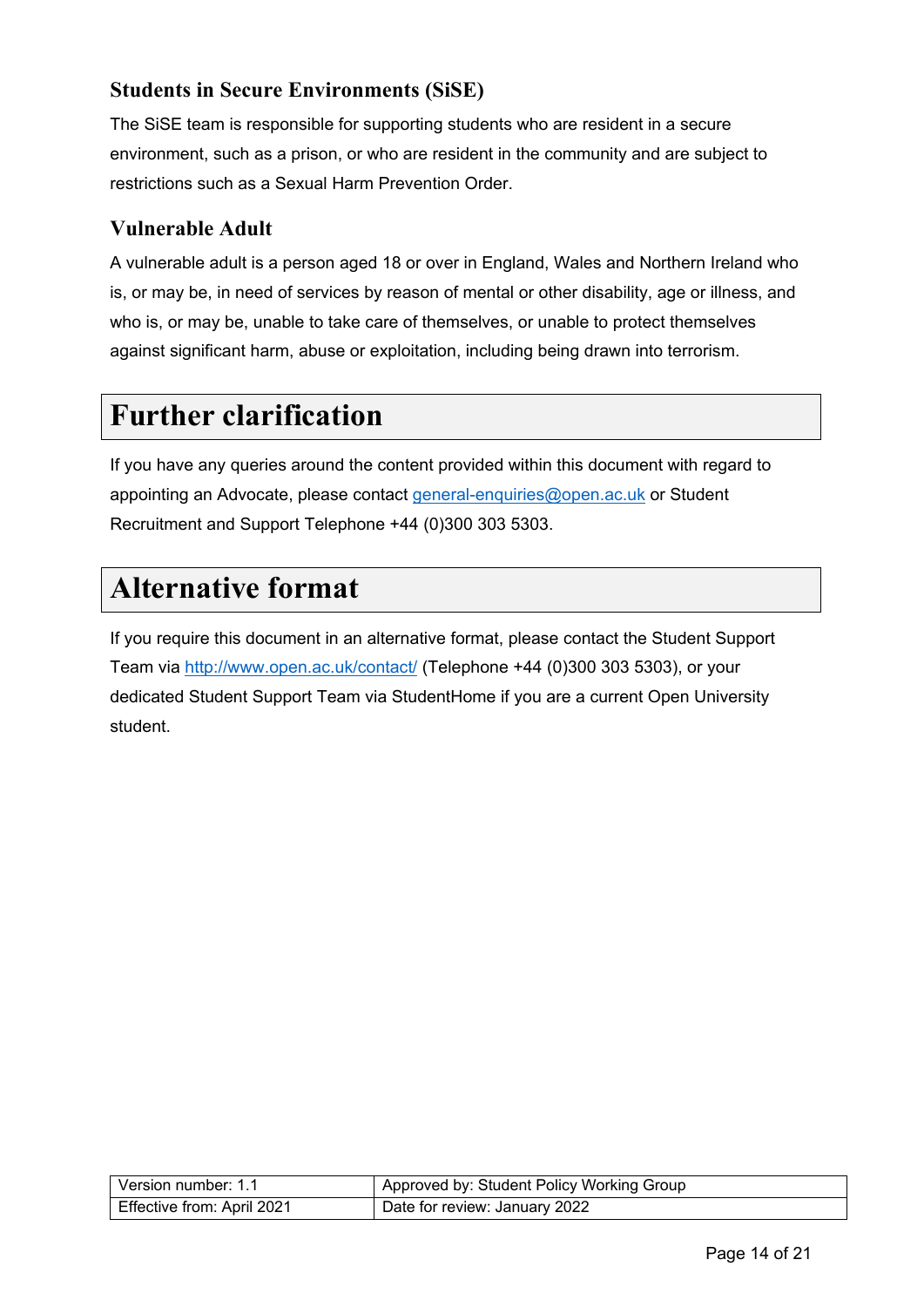### **Students in Secure Environments (SiSE)**

The SiSE team is responsible for supporting students who are resident in a secure environment, such as a prison, or who are resident in the community and are subject to restrictions such as a Sexual Harm Prevention Order.

### **Vulnerable Adult**

A vulnerable adult is a person aged 18 or over in England, Wales and Northern Ireland who is, or may be, in need of services by reason of mental or other disability, age or illness, and who is, or may be, unable to take care of themselves, or unable to protect themselves against significant harm, abuse or exploitation, including being drawn into terrorism.

# <span id="page-13-0"></span>**Further clarification**

If you have any queries around the content provided within this document with regard to appointing an Advocate, please contact [general-enquiries@open.ac.uk](mailto:general-enquiries@open.ac.uk) or Student Recruitment and Support Telephone +44 (0)300 303 5303.

### <span id="page-13-1"></span>**Alternative format**

<span id="page-13-2"></span>If you require this document in an alternative format, please contact the Student Support Team via<http://www.open.ac.uk/contact/> (Telephone +44 (0)300 303 5303), or your dedicated Student Support Team via StudentHome if you are a current Open University student.

| l Version number: 1.1      | Approved by: Student Policy Working Group |
|----------------------------|-------------------------------------------|
| Effective from: April 2021 | Date for review: January 2022             |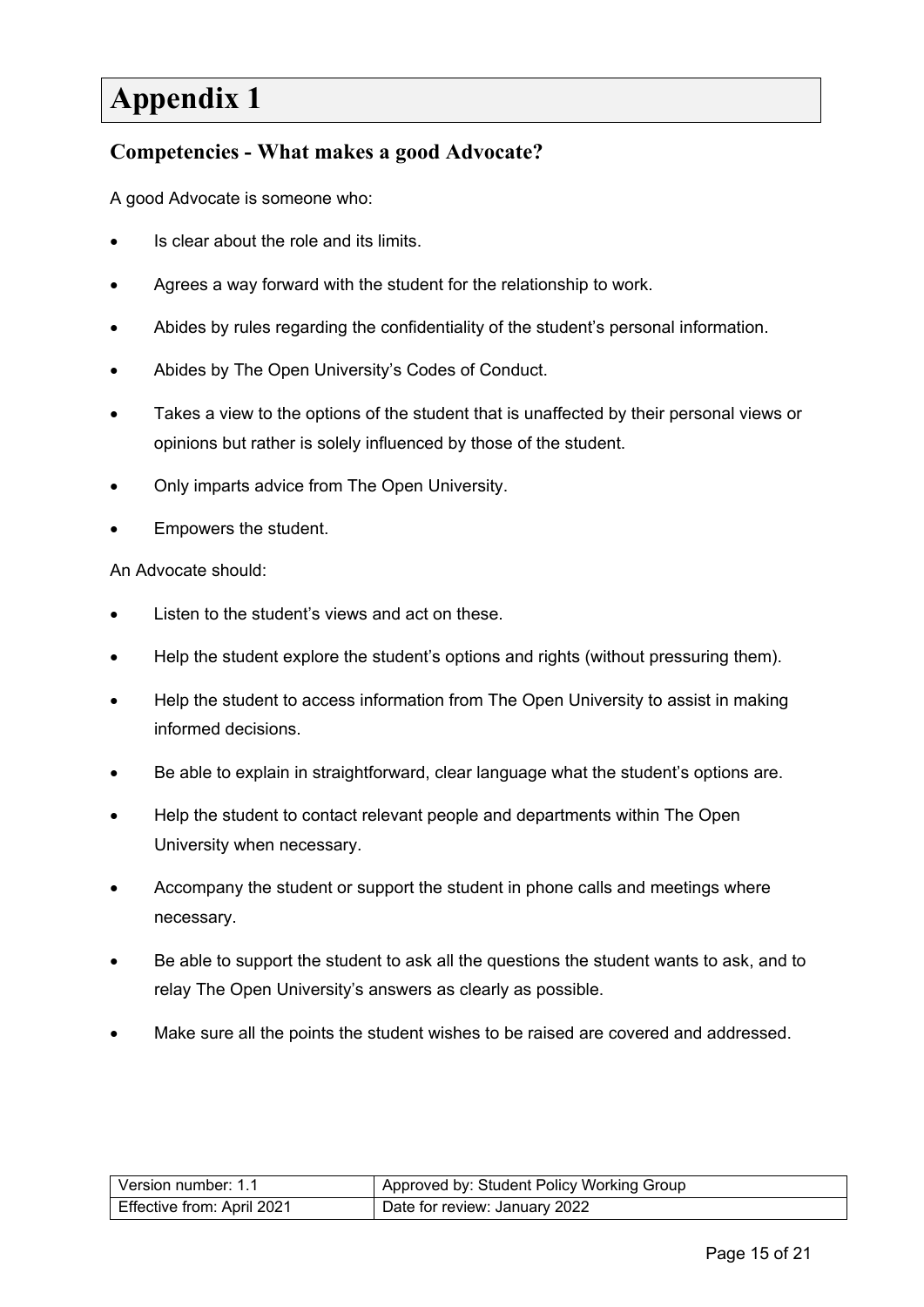# **Appendix 1**

#### <span id="page-14-0"></span>**Competencies - What makes a good Advocate?**

A good Advocate is someone who:

- Is clear about the role and its limits.
- Agrees a way forward with the student for the relationship to work.
- Abides by rules regarding the confidentiality of the student's personal information.
- Abides by The Open University's Codes of Conduct.
- Takes a view to the options of the student that is unaffected by their personal views or opinions but rather is solely influenced by those of the student.
- Only imparts advice from The Open University.
- Empowers the student.

An Advocate should:

- Listen to the student's views and act on these.
- Help the student explore the student's options and rights (without pressuring them).
- Help the student to access information from The Open University to assist in making informed decisions.
- Be able to explain in straightforward, clear language what the student's options are.
- Help the student to contact relevant people and departments within The Open University when necessary.
- Accompany the student or support the student in phone calls and meetings where necessary.
- Be able to support the student to ask all the questions the student wants to ask, and to relay The Open University's answers as clearly as possible.
- Make sure all the points the student wishes to be raised are covered and addressed.

| Version number: 1.1        | Approved by: Student Policy Working Group |
|----------------------------|-------------------------------------------|
| Effective from: April 2021 | Date for review: January 2022             |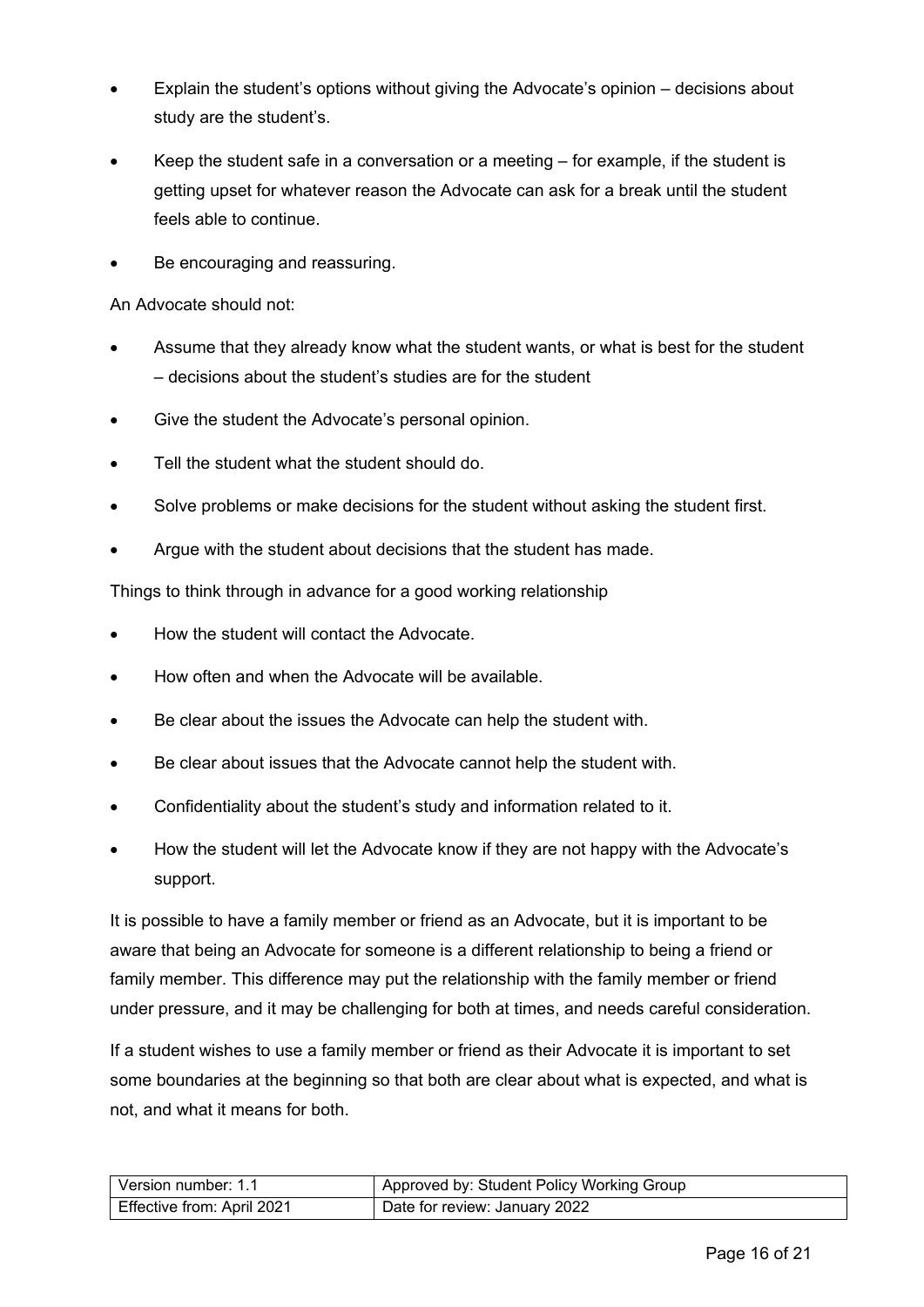- Explain the student's options without giving the Advocate's opinion decisions about study are the student's.
- Keep the student safe in a conversation or a meeting  $-$  for example, if the student is getting upset for whatever reason the Advocate can ask for a break until the student feels able to continue.
- Be encouraging and reassuring.

An Advocate should not:

- Assume that they already know what the student wants, or what is best for the student – decisions about the student's studies are for the student
- Give the student the Advocate's personal opinion.
- Tell the student what the student should do.
- Solve problems or make decisions for the student without asking the student first.
- Argue with the student about decisions that the student has made.

Things to think through in advance for a good working relationship

- How the student will contact the Advocate.
- How often and when the Advocate will be available.
- Be clear about the issues the Advocate can help the student with.
- Be clear about issues that the Advocate cannot help the student with.
- Confidentiality about the student's study and information related to it.
- How the student will let the Advocate know if they are not happy with the Advocate's support.

It is possible to have a family member or friend as an Advocate, but it is important to be aware that being an Advocate for someone is a different relationship to being a friend or family member. This difference may put the relationship with the family member or friend under pressure, and it may be challenging for both at times, and needs careful consideration.

If a student wishes to use a family member or friend as their Advocate it is important to set some boundaries at the beginning so that both are clear about what is expected, and what is not, and what it means for both.

| Version number: 1.1        | Approved by: Student Policy Working Group |
|----------------------------|-------------------------------------------|
| Effective from: April 2021 | Date for review: January 2022             |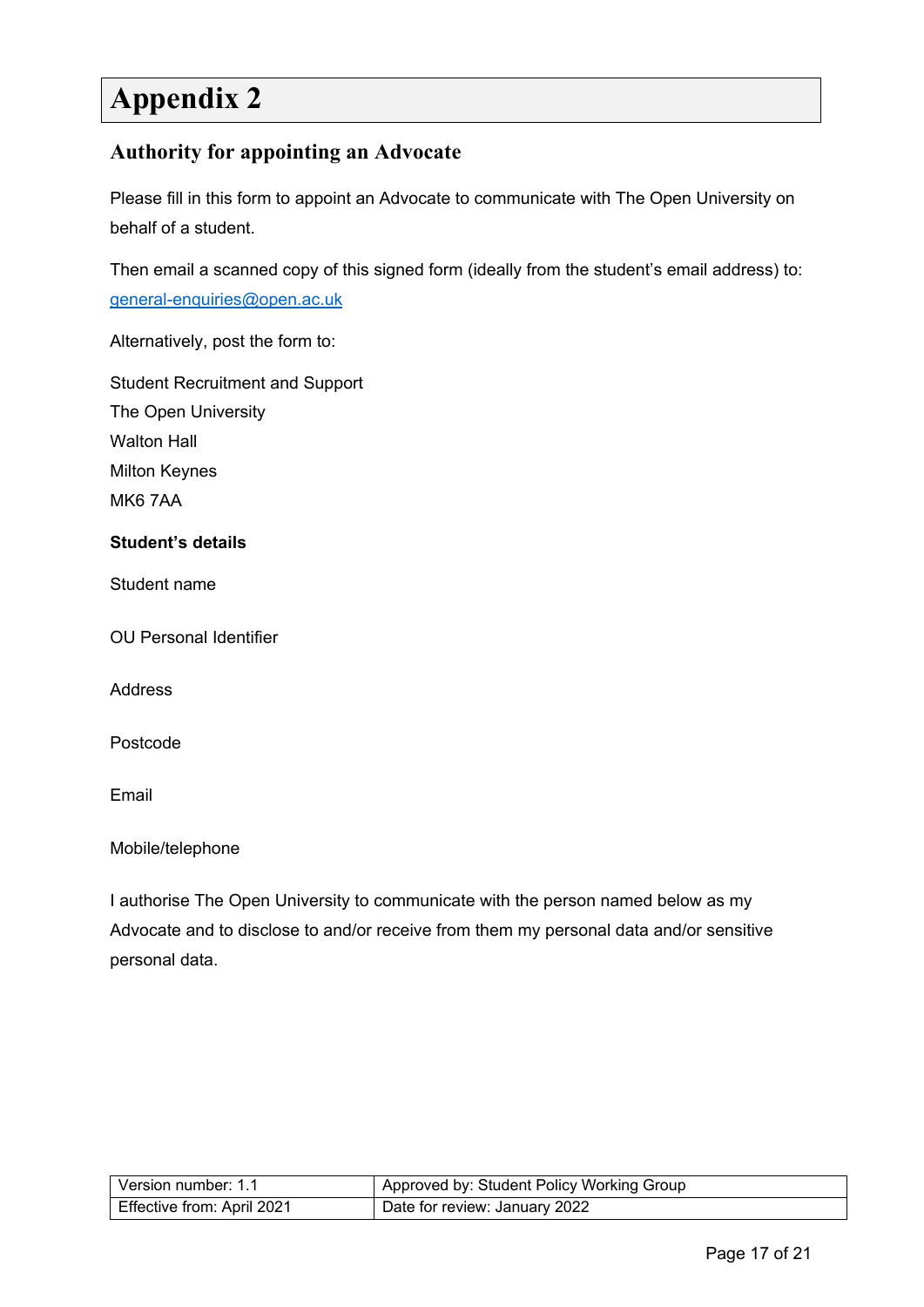# <span id="page-16-0"></span>**Appendix 2**

#### <span id="page-16-1"></span>**Authority for appointing an Advocate**

Please fill in this form to appoint an Advocate to communicate with The Open University on behalf of a student.

Then email a scanned copy of this signed form (ideally from the student's email address) to: [general-enquiries@open.ac.uk](mailto:general-enquiries@open.ac.uk)

Alternatively, post the form to:

Student Recruitment and Support The Open University Walton Hall Milton Keynes MK6 7AA

#### **Student's details**

Student name

OU Personal Identifier

Address

Postcode

Email

Mobile/telephone

I authorise The Open University to communicate with the person named below as my Advocate and to disclose to and/or receive from them my personal data and/or sensitive personal data.

| l Version number: 1.1      | Approved by: Student Policy Working Group |
|----------------------------|-------------------------------------------|
| Effective from: April 2021 | Date for review: January 2022             |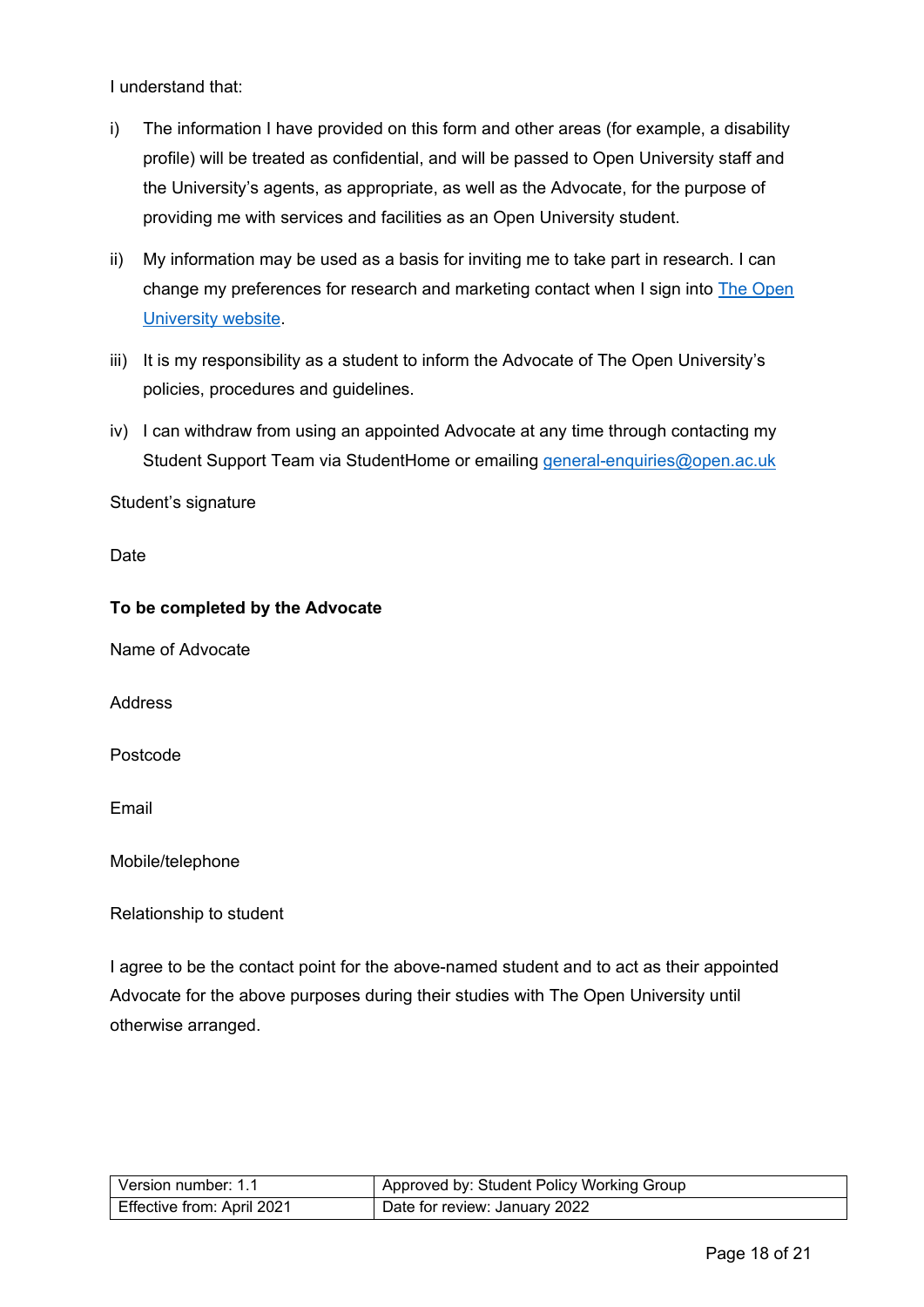I understand that:

- i) The information I have provided on this form and other areas (for example, a disability profile) will be treated as confidential, and will be passed to Open University staff and the University's agents, as appropriate, as well as the Advocate, for the purpose of providing me with services and facilities as an Open University student.
- ii) My information may be used as a basis for inviting me to take part in research. I can change my preferences for research and marketing contact when I sign into [The Open](http://www.open.ac.uk/) [University website.](http://www.open.ac.uk/)
- iii) It is my responsibility as a student to inform the Advocate of The Open University's policies, procedures and guidelines.
- iv) I can withdraw from using an appointed Advocate at any time through contacting my Student Support Team via StudentHome or emailing [general-enquiries@open.ac.uk](mailto:general-enquiries@open.ac.uk)

Student's signature

Date

#### **To be completed by the Advocate**

Name of Advocate

Address

Postcode

Email

Mobile/telephone

Relationship to student

I agree to be the contact point for the above-named student and to act as their appointed Advocate for the above purposes during their studies with The Open University until otherwise arranged.

| l Version number: 1.1      | Approved by: Student Policy Working Group |
|----------------------------|-------------------------------------------|
| Effective from: April 2021 | Date for review: January 2022             |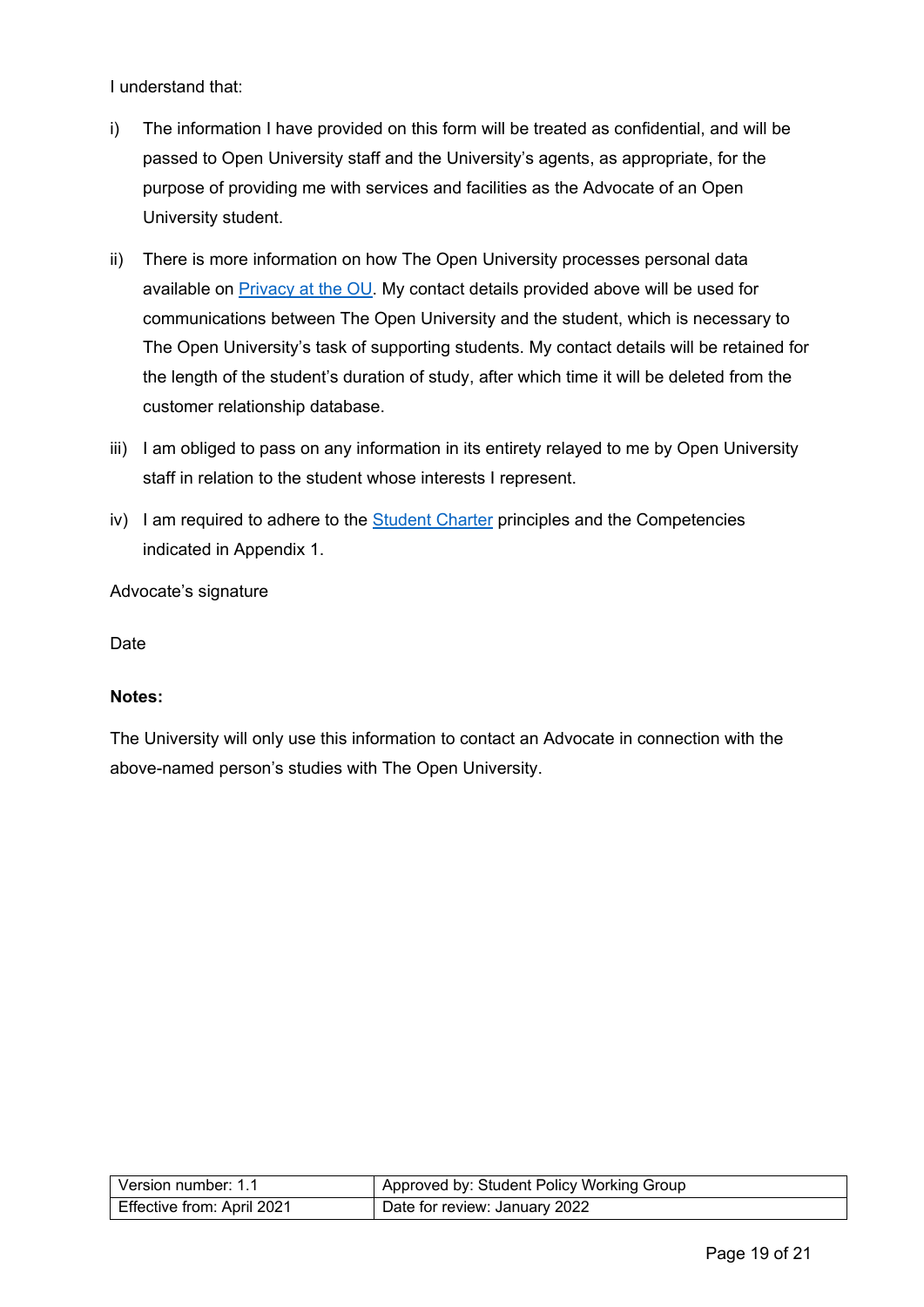I understand that:

- i) The information I have provided on this form will be treated as confidential, and will be passed to Open University staff and the University's agents, as appropriate, for the purpose of providing me with services and facilities as the Advocate of an Open University student.
- ii) There is more information on how The Open University processes personal data available on [Privacy at the OU.](http://www.open.ac.uk/about/main/strategy-and-policies/policies-and-statements/website-privacy-ou) My contact details provided above will be used for communications between The Open University and the student, which is necessary to The Open University's task of supporting students. My contact details will be retained for the length of the student's duration of study, after which time it will be deleted from the customer relationship database.
- iii) I am obliged to pass on any information in its entirety relayed to me by Open University staff in relation to the student whose interests I represent.
- iv) I am required to adhere to the [Student Charter](http://www.open.ac.uk/students/charter/) principles and the Competencies indicated in Appendix 1.

Advocate's signature

Date

#### **Notes:**

The University will only use this information to contact an Advocate in connection with the above-named person's studies with The Open University.

| Version number: 1.1        | Approved by: Student Policy Working Group |
|----------------------------|-------------------------------------------|
| Effective from: April 2021 | Date for review: January 2022             |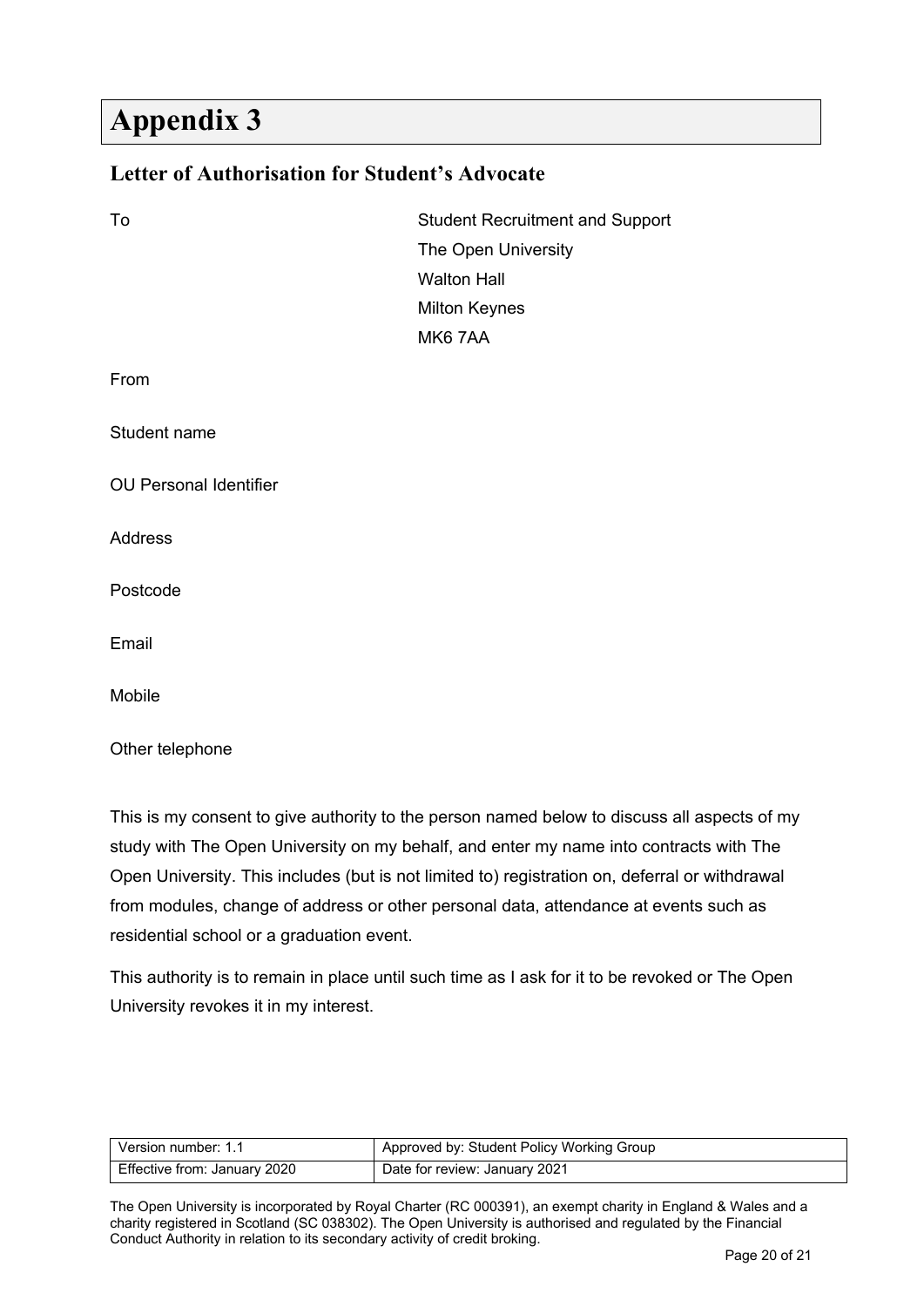# <span id="page-19-0"></span>**Appendix 3**

#### <span id="page-19-1"></span>**Letter of Authorisation for Student's Advocate**

| To                            | <b>Student Recruitment and Support</b> |
|-------------------------------|----------------------------------------|
|                               | The Open University                    |
|                               | <b>Walton Hall</b>                     |
|                               | <b>Milton Keynes</b>                   |
|                               | MK67AA                                 |
| From                          |                                        |
| Student name                  |                                        |
| <b>OU Personal Identifier</b> |                                        |
| Address                       |                                        |
| Postcode                      |                                        |
| Email                         |                                        |
| Mobile                        |                                        |
| Other telephone               |                                        |

This is my consent to give authority to the person named below to discuss all aspects of my study with The Open University on my behalf, and enter my name into contracts with The Open University. This includes (but is not limited to) registration on, deferral or withdrawal from modules, change of address or other personal data, attendance at events such as residential school or a graduation event.

This authority is to remain in place until such time as I ask for it to be revoked or The Open University revokes it in my interest.

| Version number: 1.1          | <sup>1</sup> Approved by: Student Policy Working Group |
|------------------------------|--------------------------------------------------------|
| Effective from: January 2020 | Date for review: January 2021                          |

The Open University is incorporated by Royal Charter (RC 000391), an exempt charity in England & Wales and a charity registered in Scotland (SC 038302). The Open University is authorised and regulated by the Financial Conduct Authority in relation to its secondary activity of credit broking.